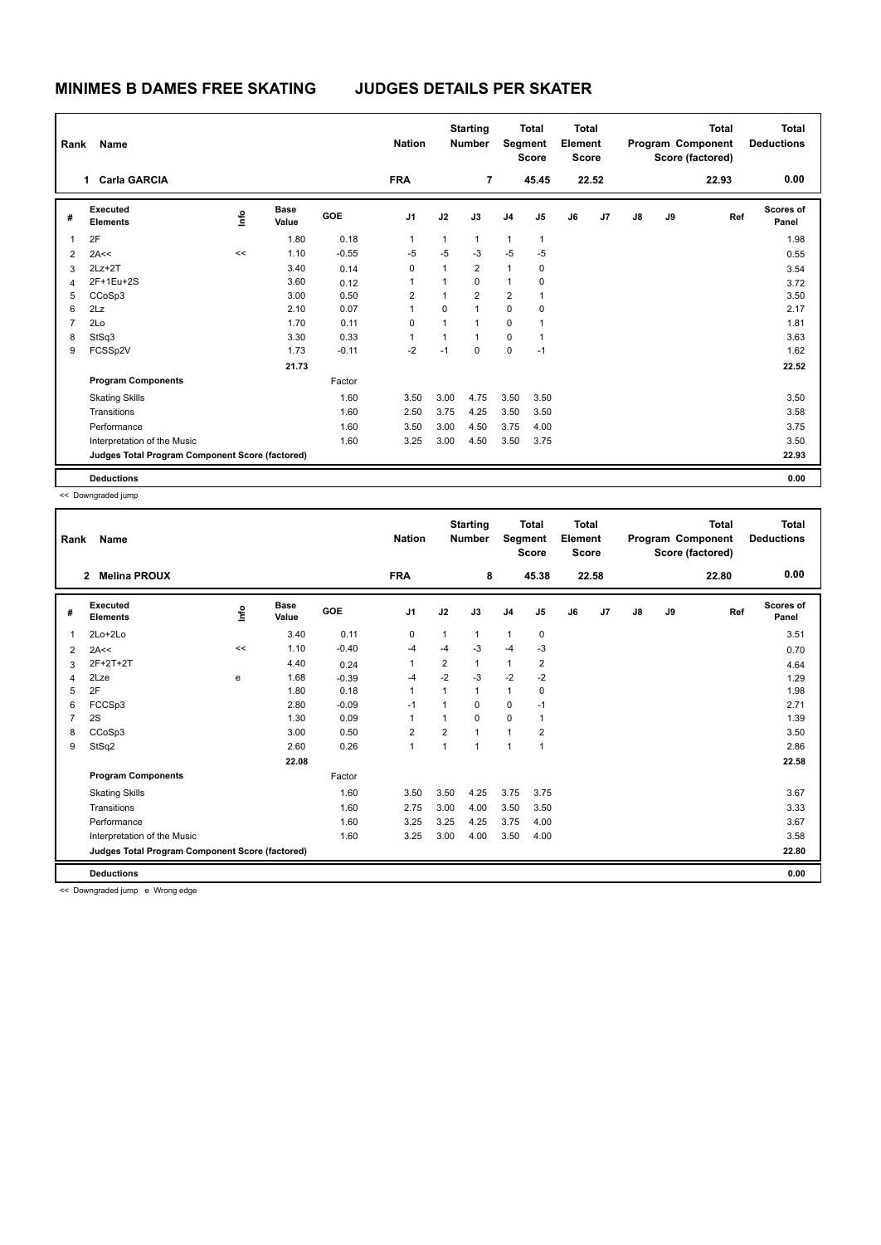| Rank           | Name                                            |      |                      |            | <b>Nation</b>  |              | <b>Starting</b><br><b>Number</b> |                | <b>Total</b><br>Segment<br><b>Score</b> | <b>Total</b><br>Element<br><b>Score</b> |       |    |    | <b>Total</b><br>Program Component<br>Score (factored) | <b>Total</b><br><b>Deductions</b> |
|----------------|-------------------------------------------------|------|----------------------|------------|----------------|--------------|----------------------------------|----------------|-----------------------------------------|-----------------------------------------|-------|----|----|-------------------------------------------------------|-----------------------------------|
|                | <b>Carla GARCIA</b><br>1.                       |      |                      |            | <b>FRA</b>     |              | $\overline{7}$                   |                | 45.45                                   |                                         | 22.52 |    |    | 22.93                                                 | 0.00                              |
| #              | Executed<br><b>Elements</b>                     | ١mfo | <b>Base</b><br>Value | <b>GOE</b> | J <sub>1</sub> | J2           | J3                               | J <sub>4</sub> | J5                                      | J6                                      | J7    | J8 | J9 | Ref                                                   | Scores of<br>Panel                |
| $\overline{1}$ | 2F                                              |      | 1.80                 | 0.18       | 1              | $\mathbf{1}$ | $\mathbf{1}$                     | $\mathbf{1}$   | $\mathbf{1}$                            |                                         |       |    |    |                                                       | 1.98                              |
| $\overline{2}$ | 2A<<                                            | <<   | 1.10                 | $-0.55$    | $-5$           | -5           | $-3$                             | $-5$           | $-5$                                    |                                         |       |    |    |                                                       | 0.55                              |
| 3              | $2Lz+2T$                                        |      | 3.40                 | 0.14       | 0              | $\mathbf{1}$ | $\overline{2}$                   | $\mathbf{1}$   | 0                                       |                                         |       |    |    |                                                       | 3.54                              |
| $\overline{4}$ | 2F+1Eu+2S                                       |      | 3.60                 | 0.12       | 1              | $\mathbf{1}$ | $\mathbf 0$                      | $\mathbf{1}$   | 0                                       |                                         |       |    |    |                                                       | 3.72                              |
| 5              | CCoSp3                                          |      | 3.00                 | 0.50       | 2              | $\mathbf{1}$ | $\overline{2}$                   | $\overline{2}$ | 1                                       |                                         |       |    |    |                                                       | 3.50                              |
| 6              | 2Lz                                             |      | 2.10                 | 0.07       | 1              | 0            | $\overline{1}$                   | 0              | 0                                       |                                         |       |    |    |                                                       | 2.17                              |
| $\overline{7}$ | 2Lo                                             |      | 1.70                 | 0.11       | 0              | 1            | $\overline{1}$                   | 0              | 1                                       |                                         |       |    |    |                                                       | 1.81                              |
| 8              | StSq3                                           |      | 3.30                 | 0.33       | 1              | $\mathbf{1}$ | $\mathbf{1}$                     | $\mathbf 0$    | $\mathbf{1}$                            |                                         |       |    |    |                                                       | 3.63                              |
| 9              | FCSSp2V                                         |      | 1.73                 | $-0.11$    | $-2$           | $-1$         | $\mathbf 0$                      | $\pmb{0}$      | $-1$                                    |                                         |       |    |    |                                                       | 1.62                              |
|                |                                                 |      | 21.73                |            |                |              |                                  |                |                                         |                                         |       |    |    |                                                       | 22.52                             |
|                | <b>Program Components</b>                       |      |                      | Factor     |                |              |                                  |                |                                         |                                         |       |    |    |                                                       |                                   |
|                | <b>Skating Skills</b>                           |      |                      | 1.60       | 3.50           | 3.00         | 4.75                             | 3.50           | 3.50                                    |                                         |       |    |    |                                                       | 3.50                              |
|                | Transitions                                     |      |                      | 1.60       | 2.50           | 3.75         | 4.25                             | 3.50           | 3.50                                    |                                         |       |    |    |                                                       | 3.58                              |
|                | Performance                                     |      |                      | 1.60       | 3.50           | 3.00         | 4.50                             | 3.75           | 4.00                                    |                                         |       |    |    |                                                       | 3.75                              |
|                | Interpretation of the Music                     |      |                      | 1.60       | 3.25           | 3.00         | 4.50                             | 3.50           | 3.75                                    |                                         |       |    |    |                                                       | 3.50                              |
|                | Judges Total Program Component Score (factored) |      |                      |            |                |              |                                  |                |                                         |                                         |       |    |    |                                                       | 22.93                             |
|                | <b>Deductions</b>                               |      |                      |            |                |              |                                  |                |                                         |                                         |       |    |    |                                                       | 0.00                              |

<< Downgraded jump

| Rank | Name                                            |      |                      |            | <b>Nation</b>  |                | <b>Starting</b><br><b>Number</b> | Segment        | <b>Total</b><br><b>Score</b> | <b>Total</b><br>Element<br>Score |       |               |    | <b>Total</b><br>Program Component<br>Score (factored) | <b>Total</b><br><b>Deductions</b> |
|------|-------------------------------------------------|------|----------------------|------------|----------------|----------------|----------------------------------|----------------|------------------------------|----------------------------------|-------|---------------|----|-------------------------------------------------------|-----------------------------------|
|      | $\mathbf{2}$<br><b>Melina PROUX</b>             |      |                      |            | <b>FRA</b>     |                | 8                                |                | 45.38                        |                                  | 22.58 |               |    | 22.80                                                 | 0.00                              |
| #    | Executed<br><b>Elements</b>                     | ١nfo | <b>Base</b><br>Value | <b>GOE</b> | J <sub>1</sub> | J2             | J3                               | J <sub>4</sub> | J5                           | J6                               | J7    | $\mathsf{J}8$ | J9 | Ref                                                   | Scores of<br>Panel                |
| 1    | $2Lo+2Lo$                                       |      | 3.40                 | 0.11       | 0              | 1              | 1                                | $\mathbf{1}$   | 0                            |                                  |       |               |    |                                                       | 3.51                              |
| 2    | 2A<<                                            | <<   | 1.10                 | $-0.40$    | $-4$           | $-4$           | -3                               | $-4$           | $-3$                         |                                  |       |               |    |                                                       | 0.70                              |
| 3    | 2F+2T+2T                                        |      | 4.40                 | 0.24       | 1              | $\overline{2}$ |                                  | 1              | $\overline{2}$               |                                  |       |               |    |                                                       | 4.64                              |
| 4    | 2Lze                                            | e    | 1.68                 | $-0.39$    | $-4$           | $-2$           | $-3$                             | $-2$           | $-2$                         |                                  |       |               |    |                                                       | 1.29                              |
| 5    | 2F                                              |      | 1.80                 | 0.18       | 1              | $\mathbf{1}$   | $\mathbf{1}$                     | $\mathbf{1}$   | 0                            |                                  |       |               |    |                                                       | 1.98                              |
| 6    | FCCS <sub>p3</sub>                              |      | 2.80                 | $-0.09$    | $-1$           | $\mathbf{1}$   | 0                                | $\mathbf 0$    | $-1$                         |                                  |       |               |    |                                                       | 2.71                              |
| 7    | 2S                                              |      | 1.30                 | 0.09       | 1              | $\mathbf{1}$   | 0                                | 0              | 1                            |                                  |       |               |    |                                                       | 1.39                              |
| 8    | CCoSp3                                          |      | 3.00                 | 0.50       | $\overline{2}$ | $\overline{2}$ |                                  | $\mathbf{1}$   | $\overline{2}$               |                                  |       |               |    |                                                       | 3.50                              |
| 9    | StSq2                                           |      | 2.60                 | 0.26       | 1              | $\mathbf{1}$   | 1                                | $\mathbf{1}$   | 1                            |                                  |       |               |    |                                                       | 2.86                              |
|      |                                                 |      | 22.08                |            |                |                |                                  |                |                              |                                  |       |               |    |                                                       | 22.58                             |
|      | <b>Program Components</b>                       |      |                      | Factor     |                |                |                                  |                |                              |                                  |       |               |    |                                                       |                                   |
|      | <b>Skating Skills</b>                           |      |                      | 1.60       | 3.50           | 3.50           | 4.25                             | 3.75           | 3.75                         |                                  |       |               |    |                                                       | 3.67                              |
|      | Transitions                                     |      |                      | 1.60       | 2.75           | 3.00           | 4.00                             | 3.50           | 3.50                         |                                  |       |               |    |                                                       | 3.33                              |
|      | Performance                                     |      |                      | 1.60       | 3.25           | 3.25           | 4.25                             | 3.75           | 4.00                         |                                  |       |               |    |                                                       | 3.67                              |
|      | Interpretation of the Music                     |      |                      | 1.60       | 3.25           | 3.00           | 4.00                             | 3.50           | 4.00                         |                                  |       |               |    |                                                       | 3.58                              |
|      | Judges Total Program Component Score (factored) |      |                      |            |                |                |                                  |                |                              |                                  |       |               |    |                                                       | 22.80                             |
|      | <b>Deductions</b>                               |      |                      |            |                |                |                                  |                |                              |                                  |       |               |    |                                                       | 0.00                              |
|      |                                                 |      |                      |            |                |                |                                  |                |                              |                                  |       |               |    |                                                       |                                   |

<< Downgraded jump e Wrong edge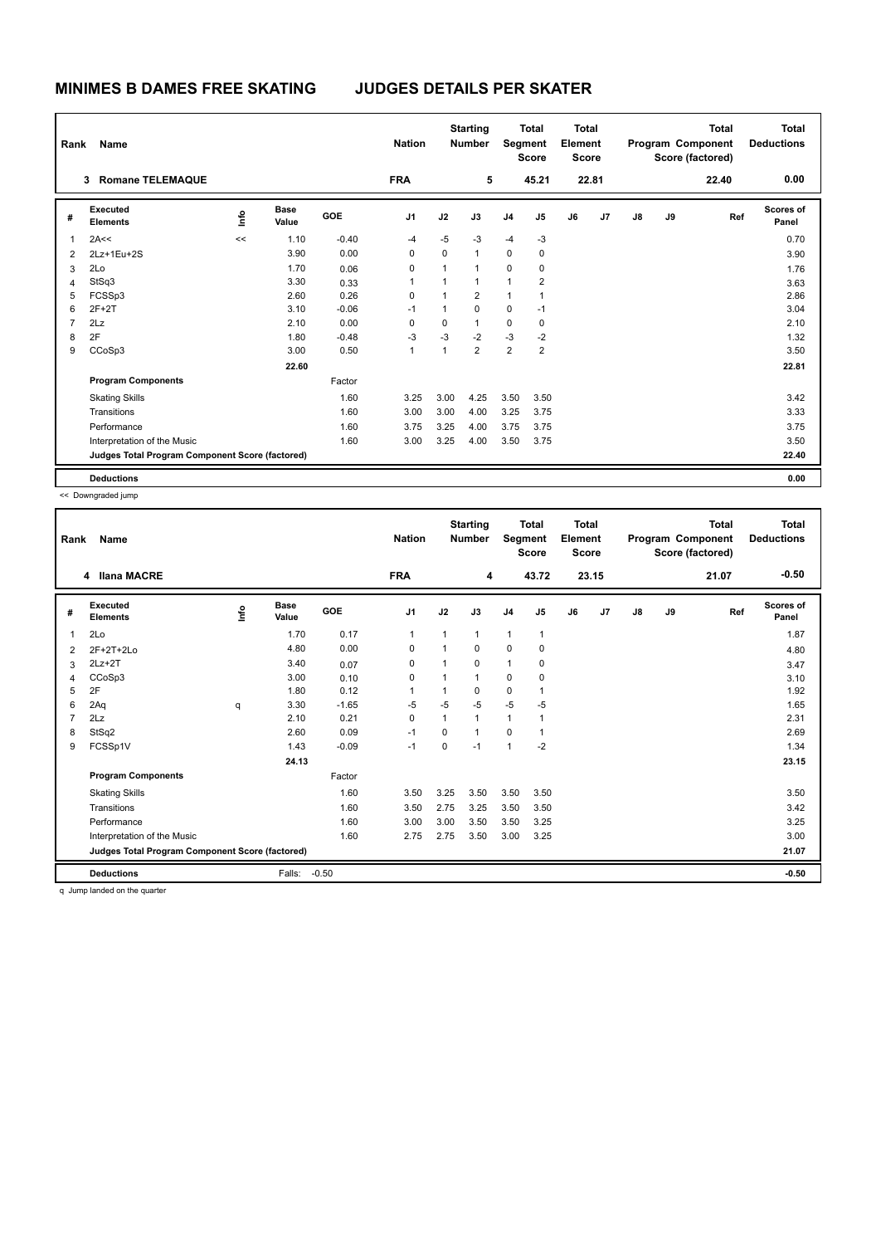| Rank           | Name                                            |      |                      |            | <b>Nation</b>  |      | <b>Starting</b><br><b>Number</b> |                | <b>Total</b><br>Segment<br><b>Score</b> | Total<br>Element<br><b>Score</b> |       |               |    | <b>Total</b><br>Program Component<br>Score (factored) | <b>Total</b><br><b>Deductions</b> |
|----------------|-------------------------------------------------|------|----------------------|------------|----------------|------|----------------------------------|----------------|-----------------------------------------|----------------------------------|-------|---------------|----|-------------------------------------------------------|-----------------------------------|
|                | <b>Romane TELEMAQUE</b><br>3                    |      |                      |            | <b>FRA</b>     |      | 5                                |                | 45.21                                   |                                  | 22.81 |               |    | 22.40                                                 | 0.00                              |
| #              | Executed<br><b>Elements</b>                     | ١mfo | <b>Base</b><br>Value | <b>GOE</b> | J <sub>1</sub> | J2   | J3                               | J <sub>4</sub> | J <sub>5</sub>                          | J6                               | J7    | $\mathsf{J}8$ | J9 | Ref                                                   | Scores of<br>Panel                |
| 1              | 2A<<                                            | <<   | 1.10                 | $-0.40$    | $-4$           | $-5$ | -3                               | $-4$           | $-3$                                    |                                  |       |               |    |                                                       | 0.70                              |
| $\overline{2}$ | 2Lz+1Eu+2S                                      |      | 3.90                 | 0.00       | $\mathbf 0$    | 0    | $\mathbf{1}$                     | $\mathbf 0$    | $\mathbf 0$                             |                                  |       |               |    |                                                       | 3.90                              |
| 3              | 2Lo                                             |      | 1.70                 | 0.06       | 0              | 1    | $\mathbf{1}$                     | 0              | 0                                       |                                  |       |               |    |                                                       | 1.76                              |
| $\overline{4}$ | StSq3                                           |      | 3.30                 | 0.33       | 1              | 1    | $\mathbf{1}$                     | $\mathbf{1}$   | $\overline{2}$                          |                                  |       |               |    |                                                       | 3.63                              |
| 5              | FCSSp3                                          |      | 2.60                 | 0.26       | 0              | 1    | $\overline{2}$                   | $\mathbf{1}$   | $\overline{1}$                          |                                  |       |               |    |                                                       | 2.86                              |
| 6              | $2F+2T$                                         |      | 3.10                 | $-0.06$    | $-1$           | 1    | $\mathbf 0$                      | 0              | $-1$                                    |                                  |       |               |    |                                                       | 3.04                              |
| $\overline{7}$ | 2Lz                                             |      | 2.10                 | 0.00       | 0              | 0    | $\mathbf{1}$                     | $\mathbf 0$    | 0                                       |                                  |       |               |    |                                                       | 2.10                              |
| 8              | 2F                                              |      | 1.80                 | $-0.48$    | $-3$           | $-3$ | $-2$                             | $-3$           | $-2$                                    |                                  |       |               |    |                                                       | 1.32                              |
| 9              | CCoSp3                                          |      | 3.00                 | 0.50       | 1              | 1    | $\overline{2}$                   | $\overline{2}$ | $\overline{2}$                          |                                  |       |               |    |                                                       | 3.50                              |
|                |                                                 |      | 22.60                |            |                |      |                                  |                |                                         |                                  |       |               |    |                                                       | 22.81                             |
|                | <b>Program Components</b>                       |      |                      | Factor     |                |      |                                  |                |                                         |                                  |       |               |    |                                                       |                                   |
|                | <b>Skating Skills</b>                           |      |                      | 1.60       | 3.25           | 3.00 | 4.25                             | 3.50           | 3.50                                    |                                  |       |               |    |                                                       | 3.42                              |
|                | Transitions                                     |      |                      | 1.60       | 3.00           | 3.00 | 4.00                             | 3.25           | 3.75                                    |                                  |       |               |    |                                                       | 3.33                              |
|                | Performance                                     |      |                      | 1.60       | 3.75           | 3.25 | 4.00                             | 3.75           | 3.75                                    |                                  |       |               |    |                                                       | 3.75                              |
|                | Interpretation of the Music                     |      |                      | 1.60       | 3.00           | 3.25 | 4.00                             | 3.50           | 3.75                                    |                                  |       |               |    |                                                       | 3.50                              |
|                | Judges Total Program Component Score (factored) |      |                      |            |                |      |                                  |                |                                         |                                  |       |               |    |                                                       | 22.40                             |
|                | <b>Deductions</b>                               |      |                      |            |                |      |                                  |                |                                         |                                  |       |               |    |                                                       | 0.00                              |

<< Downgraded jump

| Rank           | Name                                            |    |                      |         | <b>Nation</b> |              | <b>Starting</b><br><b>Number</b> | Segment        | <b>Total</b><br><b>Score</b> | Total<br>Element<br><b>Score</b> |       |               |    | <b>Total</b><br>Program Component<br>Score (factored) | Total<br><b>Deductions</b> |
|----------------|-------------------------------------------------|----|----------------------|---------|---------------|--------------|----------------------------------|----------------|------------------------------|----------------------------------|-------|---------------|----|-------------------------------------------------------|----------------------------|
|                | 4 Ilana MACRE                                   |    |                      |         | <b>FRA</b>    |              | 4                                |                | 43.72                        |                                  | 23.15 |               |    | 21.07                                                 | $-0.50$                    |
| #              | <b>Executed</b><br><b>Elements</b>              | ۴٥ | <b>Base</b><br>Value | GOE     | J1            | J2           | J3                               | J <sub>4</sub> | J5                           | J6                               | J7    | $\mathsf{J}8$ | J9 | Ref                                                   | Scores of<br>Panel         |
| $\mathbf{1}$   | 2Lo                                             |    | 1.70                 | 0.17    | 1             | $\mathbf{1}$ | $\mathbf{1}$                     | $\mathbf{1}$   | $\mathbf{1}$                 |                                  |       |               |    |                                                       | 1.87                       |
| 2              | $2F+2T+2Lo$                                     |    | 4.80                 | 0.00    | 0             | $\mathbf{1}$ | 0                                | 0              | 0                            |                                  |       |               |    |                                                       | 4.80                       |
| 3              | $2Lz+2T$                                        |    | 3.40                 | 0.07    | 0             | $\mathbf{1}$ | 0                                | $\mathbf{1}$   | 0                            |                                  |       |               |    |                                                       | 3.47                       |
| 4              | CCoSp3                                          |    | 3.00                 | 0.10    | 0             | $\mathbf{1}$ |                                  | $\Omega$       | $\Omega$                     |                                  |       |               |    |                                                       | 3.10                       |
| 5              | 2F                                              |    | 1.80                 | 0.12    | 1             | 1            | 0                                | $\mathbf 0$    | 1                            |                                  |       |               |    |                                                       | 1.92                       |
| 6              | 2Aq                                             | q  | 3.30                 | $-1.65$ | $-5$          | $-5$         | $-5$                             | $-5$           | $-5$                         |                                  |       |               |    |                                                       | 1.65                       |
| $\overline{7}$ | 2Lz                                             |    | 2.10                 | 0.21    | 0             | $\mathbf{1}$ | $\mathbf{1}$                     | $\mathbf{1}$   | 1                            |                                  |       |               |    |                                                       | 2.31                       |
| 8              | StSq2                                           |    | 2.60                 | 0.09    | $-1$          | $\Omega$     |                                  | $\Omega$       | 1                            |                                  |       |               |    |                                                       | 2.69                       |
| 9              | FCSSp1V                                         |    | 1.43                 | $-0.09$ | $-1$          | $\Omega$     | $-1$                             | $\mathbf{1}$   | $-2$                         |                                  |       |               |    |                                                       | 1.34                       |
|                |                                                 |    | 24.13                |         |               |              |                                  |                |                              |                                  |       |               |    |                                                       | 23.15                      |
|                | <b>Program Components</b>                       |    |                      | Factor  |               |              |                                  |                |                              |                                  |       |               |    |                                                       |                            |
|                | <b>Skating Skills</b>                           |    |                      | 1.60    | 3.50          | 3.25         | 3.50                             | 3.50           | 3.50                         |                                  |       |               |    |                                                       | 3.50                       |
|                | Transitions                                     |    |                      | 1.60    | 3.50          | 2.75         | 3.25                             | 3.50           | 3.50                         |                                  |       |               |    |                                                       | 3.42                       |
|                | Performance                                     |    |                      | 1.60    | 3.00          | 3.00         | 3.50                             | 3.50           | 3.25                         |                                  |       |               |    |                                                       | 3.25                       |
|                | Interpretation of the Music                     |    |                      | 1.60    | 2.75          | 2.75         | 3.50                             | 3.00           | 3.25                         |                                  |       |               |    |                                                       | 3.00                       |
|                | Judges Total Program Component Score (factored) |    |                      |         |               |              |                                  |                |                              |                                  |       |               |    |                                                       | 21.07                      |
|                | <b>Deductions</b>                               |    | Falls:               | $-0.50$ |               |              |                                  |                |                              |                                  |       |               |    |                                                       | $-0.50$                    |

q Jump landed on the quarter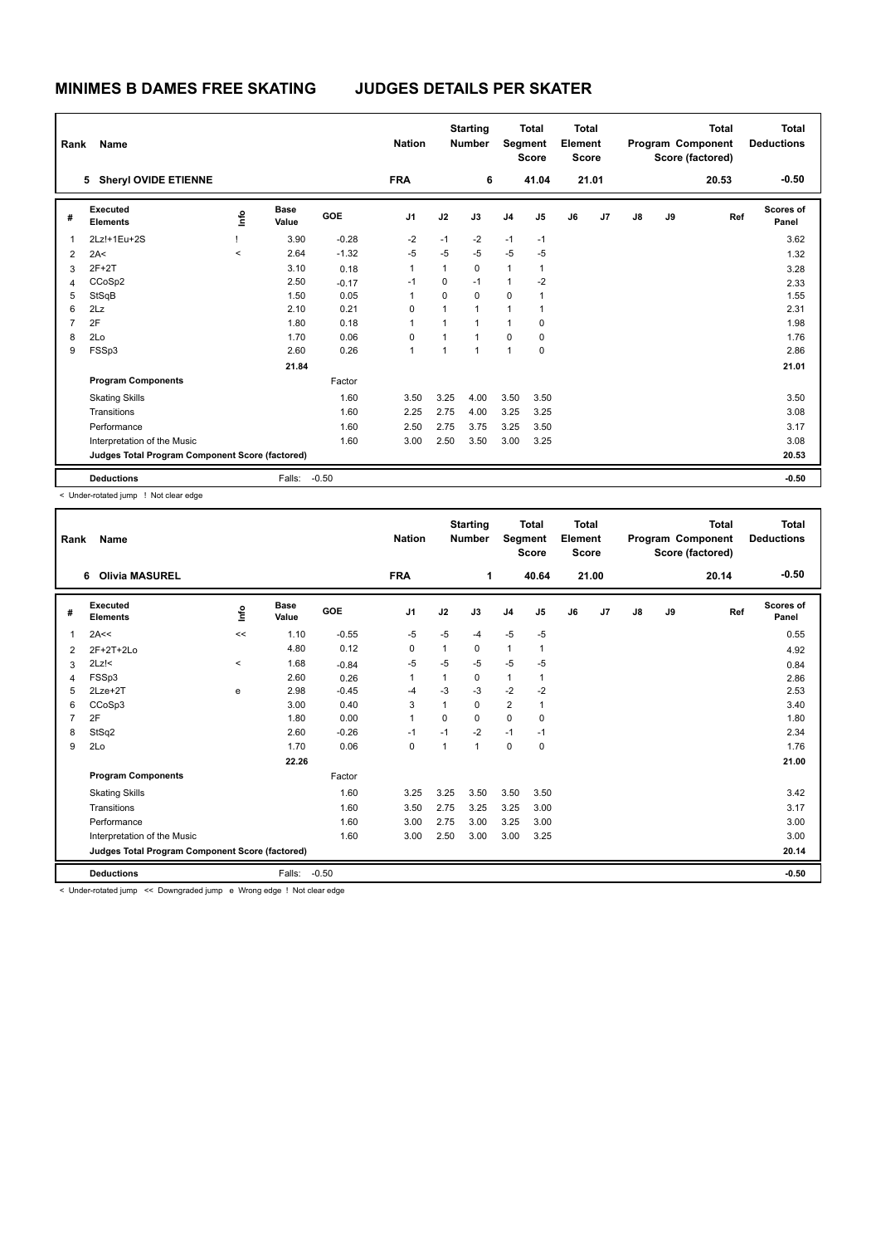| Rank           | Name                                            |         |                      |            | <b>Nation</b>  |      | <b>Starting</b><br><b>Number</b> |                | <b>Total</b><br>Segment<br><b>Score</b> | <b>Total</b><br>Element<br><b>Score</b> |       |    |    | Total<br>Program Component<br>Score (factored) | <b>Total</b><br><b>Deductions</b> |
|----------------|-------------------------------------------------|---------|----------------------|------------|----------------|------|----------------------------------|----------------|-----------------------------------------|-----------------------------------------|-------|----|----|------------------------------------------------|-----------------------------------|
|                | <b>Sheryl OVIDE ETIENNE</b><br>5                |         |                      |            | <b>FRA</b>     |      | 6                                |                | 41.04                                   |                                         | 21.01 |    |    | 20.53                                          | $-0.50$                           |
| #              | Executed<br><b>Elements</b>                     | Info    | <b>Base</b><br>Value | <b>GOE</b> | J <sub>1</sub> | J2   | J3                               | J <sub>4</sub> | J <sub>5</sub>                          | J6                                      | J7    | J8 | J9 | Ref                                            | Scores of<br>Panel                |
| $\overline{1}$ | 2Lz!+1Eu+2S                                     |         | 3.90                 | $-0.28$    | $-2$           | $-1$ | $-2$                             | $-1$           | $-1$                                    |                                         |       |    |    |                                                | 3.62                              |
| $\overline{2}$ | 2A<                                             | $\prec$ | 2.64                 | $-1.32$    | $-5$           | $-5$ | $-5$                             | $-5$           | $-5$                                    |                                         |       |    |    |                                                | 1.32                              |
| 3              | $2F+2T$                                         |         | 3.10                 | 0.18       | 1              | 1    | 0                                | $\mathbf{1}$   | $\mathbf{1}$                            |                                         |       |    |    |                                                | 3.28                              |
| 4              | CCoSp2                                          |         | 2.50                 | $-0.17$    | $-1$           | 0    | $-1$                             | $\mathbf{1}$   | $-2$                                    |                                         |       |    |    |                                                | 2.33                              |
| 5              | StSqB                                           |         | 1.50                 | 0.05       | 1              | 0    | $\mathbf 0$                      | 0              | 1                                       |                                         |       |    |    |                                                | 1.55                              |
| 6              | 2Lz                                             |         | 2.10                 | 0.21       | 0              | 1    | $\mathbf{1}$                     | 1              | $\overline{1}$                          |                                         |       |    |    |                                                | 2.31                              |
| $\overline{7}$ | 2F                                              |         | 1.80                 | 0.18       | 1              | 1    | $\overline{1}$                   | $\mathbf{1}$   | 0                                       |                                         |       |    |    |                                                | 1.98                              |
| 8              | 2Lo                                             |         | 1.70                 | 0.06       | 0              | 1    | $\overline{1}$                   | $\Omega$       | 0                                       |                                         |       |    |    |                                                | 1.76                              |
| 9              | FSSp3                                           |         | 2.60                 | 0.26       | 1              | 1    | $\overline{1}$                   | $\overline{1}$ | $\mathbf 0$                             |                                         |       |    |    |                                                | 2.86                              |
|                |                                                 |         | 21.84                |            |                |      |                                  |                |                                         |                                         |       |    |    |                                                | 21.01                             |
|                | <b>Program Components</b>                       |         |                      | Factor     |                |      |                                  |                |                                         |                                         |       |    |    |                                                |                                   |
|                | <b>Skating Skills</b>                           |         |                      | 1.60       | 3.50           | 3.25 | 4.00                             | 3.50           | 3.50                                    |                                         |       |    |    |                                                | 3.50                              |
|                | Transitions                                     |         |                      | 1.60       | 2.25           | 2.75 | 4.00                             | 3.25           | 3.25                                    |                                         |       |    |    |                                                | 3.08                              |
|                | Performance                                     |         |                      | 1.60       | 2.50           | 2.75 | 3.75                             | 3.25           | 3.50                                    |                                         |       |    |    |                                                | 3.17                              |
|                | Interpretation of the Music                     |         |                      | 1.60       | 3.00           | 2.50 | 3.50                             | 3.00           | 3.25                                    |                                         |       |    |    |                                                | 3.08                              |
|                | Judges Total Program Component Score (factored) |         |                      |            |                |      |                                  |                |                                         |                                         |       |    |    |                                                | 20.53                             |
|                | <b>Deductions</b>                               |         | Falls:               | $-0.50$    |                |      |                                  |                |                                         |                                         |       |    |    |                                                | $-0.50$                           |

< Under-rotated jump ! Not clear edge

| Rank | Name                                            |             |                      |         | <b>Nation</b> |                | <b>Starting</b><br><b>Number</b> | Segment        | <b>Total</b><br><b>Score</b> | <b>Total</b><br>Element<br><b>Score</b> |       |    |    | <b>Total</b><br>Program Component<br>Score (factored) | <b>Total</b><br><b>Deductions</b> |
|------|-------------------------------------------------|-------------|----------------------|---------|---------------|----------------|----------------------------------|----------------|------------------------------|-----------------------------------------|-------|----|----|-------------------------------------------------------|-----------------------------------|
|      | <b>Olivia MASUREL</b><br>6                      |             |                      |         | <b>FRA</b>    |                | 1                                |                | 40.64                        |                                         | 21.00 |    |    | 20.14                                                 | $-0.50$                           |
| #    | Executed<br><b>Elements</b>                     | <u>info</u> | <b>Base</b><br>Value | GOE     | J1            | J2             | J3                               | J <sub>4</sub> | J5                           | J6                                      | J7    | J8 | J9 | Ref                                                   | <b>Scores of</b><br>Panel         |
| 1    | 2A<<                                            | <<          | 1.10                 | $-0.55$ | $-5$          | $-5$           | -4                               | $-5$           | -5                           |                                         |       |    |    |                                                       | 0.55                              |
| 2    | 2F+2T+2Lo                                       |             | 4.80                 | 0.12    | $\mathbf 0$   | 1              | 0                                | $\mathbf{1}$   | 1                            |                                         |       |    |    |                                                       | 4.92                              |
| 3    | $2Lz$ !<                                        | $\hat{}$    | 1.68                 | $-0.84$ | $-5$          | $-5$           | $-5$                             | $-5$           | $-5$                         |                                         |       |    |    |                                                       | 0.84                              |
| 4    | FSSp3                                           |             | 2.60                 | 0.26    | 1             |                | 0                                | $\mathbf{1}$   | 1                            |                                         |       |    |    |                                                       | 2.86                              |
| 5    | $2Lze+2T$                                       | e           | 2.98                 | $-0.45$ | $-4$          | $-3$           | $-3$                             | $-2$           | $-2$                         |                                         |       |    |    |                                                       | 2.53                              |
| 6    | CCoSp3                                          |             | 3.00                 | 0.40    | 3             | $\overline{ }$ | 0                                | $\overline{2}$ | 1                            |                                         |       |    |    |                                                       | 3.40                              |
| 7    | 2F                                              |             | 1.80                 | 0.00    | 1             | $\Omega$       | 0                                | $\mathbf 0$    | 0                            |                                         |       |    |    |                                                       | 1.80                              |
| 8    | StSq2                                           |             | 2.60                 | $-0.26$ | $-1$          | $-1$           | $-2$                             | $-1$           | $-1$                         |                                         |       |    |    |                                                       | 2.34                              |
| 9    | 2Lo                                             |             | 1.70                 | 0.06    | $\mathbf 0$   | 1              | 1                                | $\mathbf 0$    | 0                            |                                         |       |    |    |                                                       | 1.76                              |
|      |                                                 |             | 22.26                |         |               |                |                                  |                |                              |                                         |       |    |    |                                                       | 21.00                             |
|      | <b>Program Components</b>                       |             |                      | Factor  |               |                |                                  |                |                              |                                         |       |    |    |                                                       |                                   |
|      | <b>Skating Skills</b>                           |             |                      | 1.60    | 3.25          | 3.25           | 3.50                             | 3.50           | 3.50                         |                                         |       |    |    |                                                       | 3.42                              |
|      | Transitions                                     |             |                      | 1.60    | 3.50          | 2.75           | 3.25                             | 3.25           | 3.00                         |                                         |       |    |    |                                                       | 3.17                              |
|      | Performance                                     |             |                      | 1.60    | 3.00          | 2.75           | 3.00                             | 3.25           | 3.00                         |                                         |       |    |    |                                                       | 3.00                              |
|      | Interpretation of the Music                     |             |                      | 1.60    | 3.00          | 2.50           | 3.00                             | 3.00           | 3.25                         |                                         |       |    |    |                                                       | 3.00                              |
|      | Judges Total Program Component Score (factored) |             |                      |         |               |                |                                  |                |                              |                                         |       |    |    |                                                       | 20.14                             |
|      | <b>Deductions</b>                               |             | Falls:               | $-0.50$ |               |                |                                  |                |                              |                                         |       |    |    |                                                       | $-0.50$                           |

< Under-rotated jump << Downgraded jump e Wrong edge ! Not clear edge